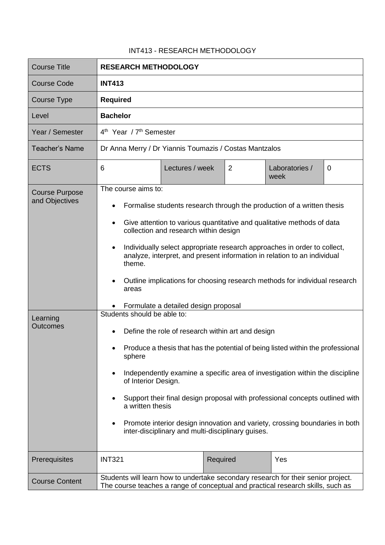## INT413 - RESEARCH METHODOLOGY

| <b>Course Title</b>                                                    | <b>RESEARCH METHODOLOGY</b>                                                                                                                                                                                                                                                                                                                                                                                                                                                                                                                                                                                                                                                                                                                                                                                                                                                                                                                                                                                                                                    |
|------------------------------------------------------------------------|----------------------------------------------------------------------------------------------------------------------------------------------------------------------------------------------------------------------------------------------------------------------------------------------------------------------------------------------------------------------------------------------------------------------------------------------------------------------------------------------------------------------------------------------------------------------------------------------------------------------------------------------------------------------------------------------------------------------------------------------------------------------------------------------------------------------------------------------------------------------------------------------------------------------------------------------------------------------------------------------------------------------------------------------------------------|
| Course Code                                                            | <b>INT413</b>                                                                                                                                                                                                                                                                                                                                                                                                                                                                                                                                                                                                                                                                                                                                                                                                                                                                                                                                                                                                                                                  |
| Course Type                                                            | <b>Required</b>                                                                                                                                                                                                                                                                                                                                                                                                                                                                                                                                                                                                                                                                                                                                                                                                                                                                                                                                                                                                                                                |
| Level                                                                  | <b>Bachelor</b>                                                                                                                                                                                                                                                                                                                                                                                                                                                                                                                                                                                                                                                                                                                                                                                                                                                                                                                                                                                                                                                |
| Year / Semester                                                        | 4 <sup>th</sup> Year / 7 <sup>th</sup> Semester                                                                                                                                                                                                                                                                                                                                                                                                                                                                                                                                                                                                                                                                                                                                                                                                                                                                                                                                                                                                                |
| <b>Teacher's Name</b>                                                  | Dr Anna Merry / Dr Yiannis Toumazis / Costas Mantzalos                                                                                                                                                                                                                                                                                                                                                                                                                                                                                                                                                                                                                                                                                                                                                                                                                                                                                                                                                                                                         |
| <b>ECTS</b>                                                            | $\overline{2}$<br>6<br>Lectures / week<br>Laboratories /<br>0<br>week                                                                                                                                                                                                                                                                                                                                                                                                                                                                                                                                                                                                                                                                                                                                                                                                                                                                                                                                                                                          |
| <b>Course Purpose</b><br>and Objectives<br>Learning<br><b>Outcomes</b> | The course aims to:<br>Formalise students research through the production of a written thesis<br>Give attention to various quantitative and qualitative methods of data<br>collection and research within design<br>Individually select appropriate research approaches in order to collect,<br>$\bullet$<br>analyze, interpret, and present information in relation to an individual<br>theme.<br>Outline implications for choosing research methods for individual research<br>areas<br>Formulate a detailed design proposal<br>Students should be able to:<br>Define the role of research within art and design<br>Produce a thesis that has the potential of being listed within the professional<br>sphere<br>Independently examine a specific area of investigation within the discipline<br>of Interior Design.<br>Support their final design proposal with professional concepts outlined with<br>a written thesis<br>Promote interior design innovation and variety, crossing boundaries in both<br>inter-disciplinary and multi-disciplinary guises. |
| Prerequisites                                                          | <b>INT321</b><br>Required<br>Yes                                                                                                                                                                                                                                                                                                                                                                                                                                                                                                                                                                                                                                                                                                                                                                                                                                                                                                                                                                                                                               |
| <b>Course Content</b>                                                  | Students will learn how to undertake secondary research for their senior project.<br>The course teaches a range of conceptual and practical research skills, such as                                                                                                                                                                                                                                                                                                                                                                                                                                                                                                                                                                                                                                                                                                                                                                                                                                                                                           |